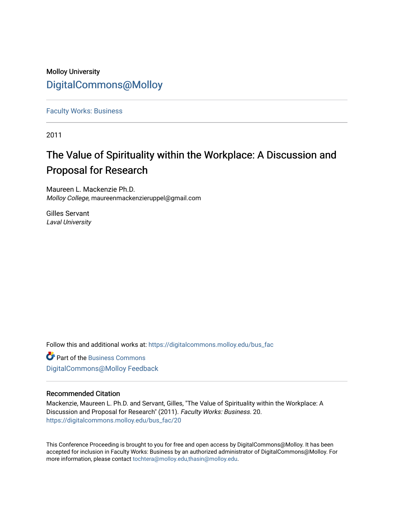# Molloy University [DigitalCommons@Molloy](https://digitalcommons.molloy.edu/)

[Faculty Works: Business](https://digitalcommons.molloy.edu/bus_fac) 

2011

# The Value of Spirituality within the Workplace: A Discussion and Proposal for Research

Maureen L. Mackenzie Ph.D. Molloy College, maureenmackenzieruppel@gmail.com

Gilles Servant Laval University

Follow this and additional works at: [https://digitalcommons.molloy.edu/bus\\_fac](https://digitalcommons.molloy.edu/bus_fac?utm_source=digitalcommons.molloy.edu%2Fbus_fac%2F20&utm_medium=PDF&utm_campaign=PDFCoverPages)

**C** Part of the [Business Commons](https://network.bepress.com/hgg/discipline/622?utm_source=digitalcommons.molloy.edu%2Fbus_fac%2F20&utm_medium=PDF&utm_campaign=PDFCoverPages) [DigitalCommons@Molloy Feedback](https://molloy.libwizard.com/f/dcfeedback)

# Recommended Citation

Mackenzie, Maureen L. Ph.D. and Servant, Gilles, "The Value of Spirituality within the Workplace: A Discussion and Proposal for Research" (2011). Faculty Works: Business. 20. [https://digitalcommons.molloy.edu/bus\\_fac/20](https://digitalcommons.molloy.edu/bus_fac/20?utm_source=digitalcommons.molloy.edu%2Fbus_fac%2F20&utm_medium=PDF&utm_campaign=PDFCoverPages) 

This Conference Proceeding is brought to you for free and open access by DigitalCommons@Molloy. It has been accepted for inclusion in Faculty Works: Business by an authorized administrator of DigitalCommons@Molloy. For more information, please contact [tochtera@molloy.edu,thasin@molloy.edu.](mailto:tochtera@molloy.edu,thasin@molloy.edu)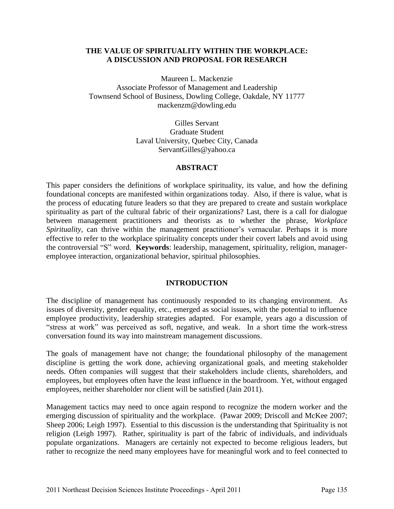# **THE VALUE OF SPIRITUALITY WITHIN THE WORKPLACE: A DISCUSSION AND PROPOSAL FOR RESEARCH**

Maureen L. Mackenzie Associate Professor of Management and Leadership Townsend School of Business, Dowling College, Oakdale, NY 11777 mackenzm@dowling.edu

> Gilles Servant Graduate Student Laval University, Quebec City, Canada ServantGilles@yahoo.ca

# **ABSTRACT**

This paper considers the definitions of workplace spirituality, its value, and how the defining foundational concepts are manifested within organizations today. Also, if there is value, what is the process of educating future leaders so that they are prepared to create and sustain workplace spirituality as part of the cultural fabric of their organizations? Last, there is a call for dialogue between management practitioners and theorists as to whether the phrase, *Workplace Spirituality*, can thrive within the management practitioner's vernacular. Perhaps it is more effective to refer to the workplace spirituality concepts under their covert labels and avoid using the controversial "S" word. **Keywords**: leadership, management, spirituality, religion, manageremployee interaction, organizational behavior, spiritual philosophies.

# **INTRODUCTION**

The discipline of management has continuously responded to its changing environment. As issues of diversity, gender equality, etc., emerged as social issues, with the potential to influence employee productivity, leadership strategies adapted. For example, years ago a discussion of "stress at work" was perceived as soft, negative, and weak. In a short time the work-stress conversation found its way into mainstream management discussions.

The goals of management have not change; the foundational philosophy of the management discipline is getting the work done, achieving organizational goals, and meeting stakeholder needs. Often companies will suggest that their stakeholders include clients, shareholders, and employees, but employees often have the least influence in the boardroom. Yet, without engaged employees, neither shareholder nor client will be satisfied (Jain 2011).

Management tactics may need to once again respond to recognize the modern worker and the emerging discussion of spirituality and the workplace. (Pawar 2009; Driscoll and McKee 2007; Sheep 2006; Leigh 1997). Essential to this discussion is the understanding that Spirituality is not religion (Leigh 1997). Rather, spirituality is part of the fabric of individuals, and individuals populate organizations. Managers are certainly not expected to become religious leaders, but rather to recognize the need many employees have for meaningful work and to feel connected to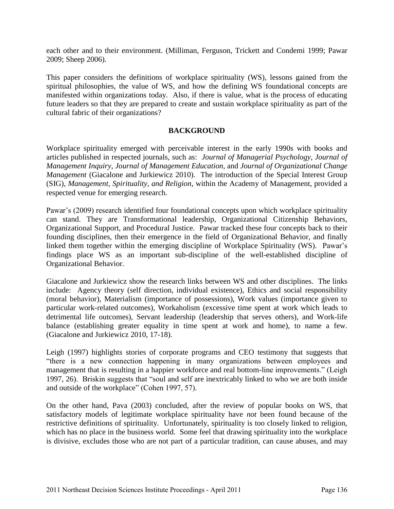each other and to their environment. (Milliman, Ferguson, Trickett and Condemi 1999; Pawar 2009; Sheep 2006).

This paper considers the definitions of workplace spirituality (WS), lessons gained from the spiritual philosophies, the value of WS, and how the defining WS foundational concepts are manifested within organizations today. Also, if there is value, what is the process of educating future leaders so that they are prepared to create and sustain workplace spirituality as part of the cultural fabric of their organizations?

# **BACKGROUND**

Workplace spirituality emerged with perceivable interest in the early 1990s with books and articles published in respected journals, such as: *Journal of Managerial Psychology*, *Journal of Management Inquiry*, *Journal of Management Education*, and *Journal of Organizational Change Management* (Giacalone and Jurkiewicz 2010). The introduction of the Special Interest Group (SIG), *Management, Spirituality, and Religion*, within the Academy of Management, provided a respected venue for emerging research.

Pawar's (2009) research identified four foundational concepts upon which workplace spirituality can stand. They are Transformational leadership, Organizational Citizenship Behaviors, Organizational Support, and Procedural Justice. Pawar tracked these four concepts back to their founding disciplines, then their emergence in the field of Organizational Behavior, and finally linked them together within the emerging discipline of Workplace Spirituality (WS). Pawar's findings place WS as an important sub-discipline of the well-established discipline of Organizational Behavior.

Giacalone and Jurkiewicz show the research links between WS and other disciplines. The links include: Agency theory (self direction, individual existence), Ethics and social responsibility (moral behavior), Materialism (importance of possessions), Work values (importance given to particular work-related outcomes), Workaholism (excessive time spent at work which leads to detrimental life outcomes), Servant leadership (leadership that serves others), and Work-life balance (establishing greater equality in time spent at work and home), to name a few. (Giacalone and Jurkiewicz 2010, 17-18).

Leigh (1997) highlights stories of corporate programs and CEO testimony that suggests that "there is a new connection happening in many organizations between employees and management that is resulting in a happier workforce and real bottom-line improvements." (Leigh 1997, 26). Briskin suggests that "soul and self are inextricably linked to who we are both inside and outside of the workplace" (Cohen 1997, 57).

On the other hand, Pava (2003) concluded, after the review of popular books on WS, that satisfactory models of legitimate workplace spirituality have *not* been found because of the restrictive definitions of spirituality. Unfortunately, spirituality is too closely linked to religion, which has no place in the business world. Some feel that drawing spirituality into the workplace is divisive, excludes those who are not part of a particular tradition, can cause abuses, and may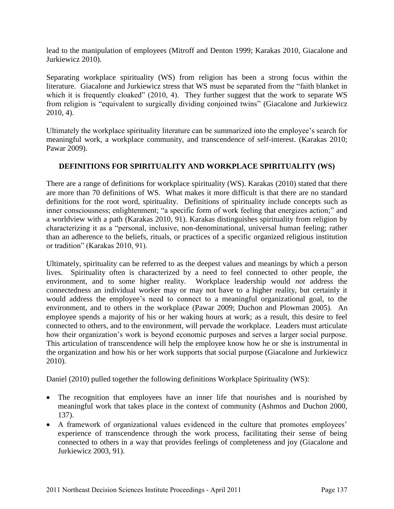lead to the manipulation of employees (Mitroff and Denton 1999; Karakas 2010, Giacalone and Jurkiewicz 2010).

Separating workplace spirituality (WS) from religion has been a strong focus within the literature. Giacalone and Jurkiewicz stress that WS must be separated from the "faith blanket in which it is frequently cloaked" (2010, 4). They further suggest that the work to separate WS from religion is "equivalent to surgically dividing conjoined twins" (Giacalone and Jurkiewicz 2010, 4).

Ultimately the workplace spirituality literature can be summarized into the employee's search for meaningful work, a workplace community, and transcendence of self-interest. (Karakas 2010; Pawar 2009).

# **DEFINITIONS FOR SPIRITUALITY AND WORKPLACE SPIRITUALITY (WS)**

There are a range of definitions for workplace spirituality (WS). Karakas (2010) stated that there are more than 70 definitions of WS. What makes it more difficult is that there are no standard definitions for the root word, spirituality. Definitions of spirituality include concepts such as inner consciousness; enlightenment; "a specific form of work feeling that energizes action;" and a worldview with a path (Karakas 2010, 91). Karakas distinguishes spirituality from religion by characterizing it as a "personal, inclusive, non-denominational, universal human feeling; rather than an adherence to the beliefs, rituals, or practices of a specific organized religious institution or tradition" (Karakas 2010, 91).

Ultimately, spirituality can be referred to as the deepest values and meanings by which a person lives. Spirituality often is characterized by a need to feel connected to other people, the environment, and to some higher reality. Workplace leadership would *not* address the connectedness an individual worker may or may not have to a higher reality, but certainly it would address the employee's need to connect to a meaningful organizational goal, to the environment, and to others in the workplace (Pawar 2009; Duchon and Plowman 2005). An employee spends a majority of his or her waking hours at work; as a result, this desire to feel connected to others, and to the environment, will pervade the workplace. Leaders must articulate how their organization's work is beyond economic purposes and serves a larger social purpose. This articulation of transcendence will help the employee know how he or she is instrumental in the organization and how his or her work supports that social purpose (Giacalone and Jurkiewicz 2010).

Daniel (2010) pulled together the following definitions Workplace Spirituality (WS):

- The recognition that employees have an inner life that nourishes and is nourished by meaningful work that takes place in the context of community (Ashmos and Duchon 2000, 137).
- A framework of organizational values evidenced in the culture that promotes employees' experience of transcendence through the work process, facilitating their sense of being connected to others in a way that provides feelings of completeness and joy (Giacalone and Jurkiewicz 2003, 91).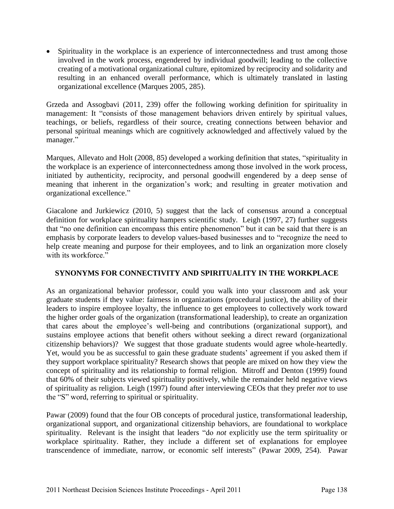• Spirituality in the workplace is an experience of interconnectedness and trust among those involved in the work process, engendered by individual goodwill; leading to the collective creating of a motivational organizational culture, epitomized by reciprocity and solidarity and resulting in an enhanced overall performance, which is ultimately translated in lasting organizational excellence (Marques 2005, 285).

Grzeda and Assogbavi (2011, 239) offer the following working definition for spirituality in management: It "consists of those management behaviors driven entirely by spiritual values, teachings, or beliefs, regardless of their source, creating connections between behavior and personal spiritual meanings which are cognitively acknowledged and affectively valued by the manager."

Marques, Allevato and Holt (2008, 85) developed a working definition that states, "spirituality in the workplace is an experience of interconnectedness among those involved in the work process, initiated by authenticity, reciprocity, and personal goodwill engendered by a deep sense of meaning that inherent in the organization's work; and resulting in greater motivation and organizational excellence."

Giacalone and Jurkiewicz (2010, 5) suggest that the lack of consensus around a conceptual definition for workplace spirituality hampers scientific study. Leigh (1997, 27) further suggests that "no one definition can encompass this entire phenomenon" but it can be said that there is an emphasis by corporate leaders to develop values-based businesses and to "recognize the need to help create meaning and purpose for their employees, and to link an organization more closely with its workforce."

# **SYNONYMS FOR CONNECTIVITY AND SPIRITUALITY IN THE WORKPLACE**

As an organizational behavior professor, could you walk into your classroom and ask your graduate students if they value: fairness in organizations (procedural justice), the ability of their leaders to inspire employee loyalty, the influence to get employees to collectively work toward the higher order goals of the organization (transformational leadership), to create an organization that cares about the employee's well-being and contributions (organizational support), and sustains employee actions that benefit others without seeking a direct reward (organizational citizenship behaviors)? We suggest that those graduate students would agree whole-heartedly. Yet, would you be as successful to gain these graduate students' agreement if you asked them if they support workplace spirituality? Research shows that people are mixed on how they view the concept of spirituality and its relationship to formal religion. Mitroff and Denton (1999) found that 60% of their subjects viewed spirituality positively, while the remainder held negative views of spirituality as religion. Leigh (1997) found after interviewing CEOs that they prefer *not* to use the "S" word, referring to spiritual or spirituality.

Pawar (2009) found that the four OB concepts of procedural justice, transformational leadership, organizational support, and organizational citizenship behaviors, are foundational to workplace spirituality. Relevant is the insight that leaders "do *not* explicitly use the term spirituality or workplace spirituality. Rather, they include a different set of explanations for employee transcendence of immediate, narrow, or economic self interests" (Pawar 2009, 254). Pawar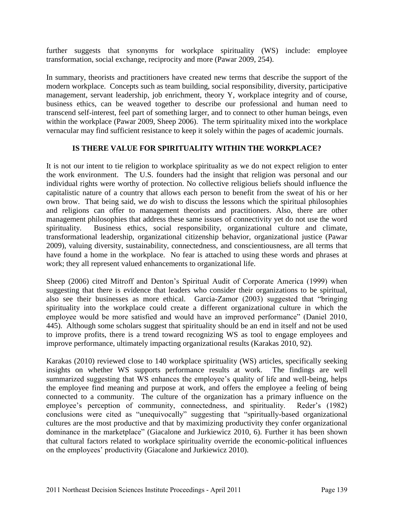further suggests that synonyms for workplace spirituality (WS) include: employee transformation, social exchange, reciprocity and more (Pawar 2009, 254).

In summary, theorists and practitioners have created new terms that describe the support of the modern workplace. Concepts such as team building, social responsibility, diversity, participative management, servant leadership, job enrichment, theory Y, workplace integrity and of course, business ethics, can be weaved together to describe our professional and human need to transcend self-interest, feel part of something larger, and to connect to other human beings, even within the workplace (Pawar 2009, Sheep 2006). The term spirituality mixed into the workplace vernacular may find sufficient resistance to keep it solely within the pages of academic journals.

# **IS THERE VALUE FOR SPIRITUALITY WITHIN THE WORKPLACE?**

It is not our intent to tie religion to workplace spirituality as we do not expect religion to enter the work environment. The U.S. founders had the insight that religion was personal and our individual rights were worthy of protection. No collective religious beliefs should influence the capitalistic nature of a country that allows each person to benefit from the sweat of his or her own brow. That being said, we *do* wish to discuss the lessons which the spiritual philosophies and religions can offer to management theorists and practitioners. Also, there are other management philosophies that address these same issues of connectivity yet do not use the word spirituality. Business ethics, social responsibility, organizational culture and climate, transformational leadership, organizational citizenship behavior, organizational justice (Pawar 2009), valuing diversity, sustainability, connectedness, and conscientiousness, are all terms that have found a home in the workplace. No fear is attached to using these words and phrases at work; they all represent valued enhancements to organizational life.

Sheep (2006) cited Mitroff and Denton's Spiritual Audit of Corporate America (1999) when suggesting that there is evidence that leaders who consider their organizations to be spiritual, also see their businesses as more ethical. Garcia-Zamor (2003) suggested that "bringing spirituality into the workplace could create a different organizational culture in which the employee would be more satisfied and would have an improved performance" (Daniel 2010, 445). Although some scholars suggest that spirituality should be an end in itself and not be used to improve profits, there is a trend toward recognizing WS as tool to engage employees and improve performance, ultimately impacting organizational results (Karakas 2010, 92).

Karakas (2010) reviewed close to 140 workplace spirituality (WS) articles, specifically seeking insights on whether WS supports performance results at work. The findings are well summarized suggesting that WS enhances the employee's quality of life and well-being, helps the employee find meaning and purpose at work, and offers the employee a feeling of being connected to a community. The culture of the organization has a primary influence on the employee's perception of community, connectedness, and spirituality. Reder's (1982) conclusions were cited as "unequivocally" suggesting that "spiritually-based organizational cultures are the most productive and that by maximizing productivity they confer organizational dominance in the marketplace" (Giacalone and Jurkiewicz 2010, 6). Further it has been shown that cultural factors related to workplace spirituality override the economic-political influences on the employees' productivity (Giacalone and Jurkiewicz 2010).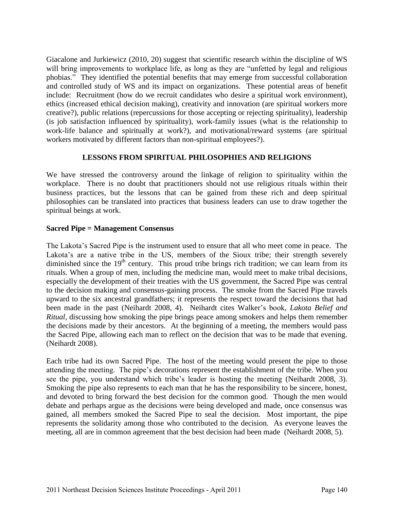Giacalone and Jurkiewicz (2010, 20) suggest that scientific research within the discipline of WS will bring improvements to workplace life, as long as they are "unfetted by legal and religious phobias." They identified the potential benefits that may emerge from successful collaboration and controlled study of WS and its impact on organizations. These potential areas of benefit include: Recruitment (how do we recruit candidates who desire a spiritual work environment), ethics (increased ethical decision making), creativity and innovation (are spiritual workers more creative?), public relations (repercussions for those accepting or rejecting spirituality), leadership (is job satisfaction influenced by spirituality), work-family issues (what is the relationship to work-life balance and spiritually at work?), and motivational/reward systems (are spiritual workers motivated by different factors than non-spiritual employees?).

# **LESSONS FROM SPIRITUAL PHILOSOPHIES AND RELIGIONS**

We have stressed the controversy around the linkage of religion to spirituality within the workplace. There is no doubt that practitioners should not use religious rituals within their business practices, but the lessons that can be gained from these rich and deep spiritual philosophies can be translated into practices that business leaders can use to draw together the spiritual beings at work.

# **Sacred Pipe = Management Consensus**

The Lakota's Sacred Pipe is the instrument used to ensure that all who meet come in peace. The Lakota's are a native tribe in the US, members of the Sioux tribe; their strength severely diminished since the  $19<sup>th</sup>$  century. This proud tribe brings rich tradition; we can learn from its rituals. When a group of men, including the medicine man, would meet to make tribal decisions, especially the development of their treaties with the US government, the Sacred Pipe was central to the decision making and consensus-gaining process. The smoke from the Sacred Pipe travels upward to the six ancestral grandfathers; it represents the respect toward the decisions that had been made in the past (Neihardt 2008, 4). Neihardt cites Walker's book, *Lakota Belief and Ritual,* discussing how smoking the pipe brings peace among smokers and helps them remember the decisions made by their ancestors. At the beginning of a meeting, the members would pass the Sacred Pipe, allowing each man to reflect on the decision that was to be made that evening. (Neihardt 2008).

Each tribe had its own Sacred Pipe. The host of the meeting would present the pipe to those attending the meeting. The pipe's decorations represent the establishment of the tribe. When you see the pipe, you understand which tribe's leader is hosting the meeting (Neihardt 2008, 3). Smoking the pipe also represents to each man that he has the responsibility to be sincere, honest, and devoted to bring forward the best decision for the common good. Though the men would debate and perhaps argue as the decisions were being developed and made, once consensus was gained, all members smoked the Sacred Pipe to seal the decision. Most important, the pipe represents the solidarity among those who contributed to the decision. As everyone leaves the meeting, all are in common agreement that the best decision had been made (Neihardt 2008, 5).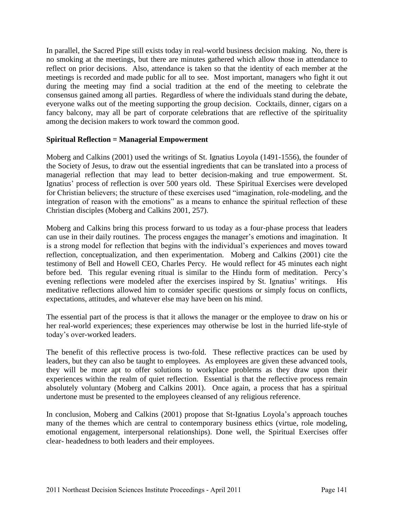In parallel, the Sacred Pipe still exists today in real-world business decision making. No, there is no smoking at the meetings, but there are minutes gathered which allow those in attendance to reflect on prior decisions. Also, attendance is taken so that the identity of each member at the meetings is recorded and made public for all to see. Most important, managers who fight it out during the meeting may find a social tradition at the end of the meeting to celebrate the consensus gained among all parties. Regardless of where the individuals stand during the debate, everyone walks out of the meeting supporting the group decision. Cocktails, dinner, cigars on a fancy balcony, may all be part of corporate celebrations that are reflective of the spirituality among the decision makers to work toward the common good.

# **Spiritual Reflection = Managerial Empowerment**

Moberg and Calkins (2001) used the writings of St. Ignatius Loyola (1491-1556), the founder of the Society of Jesus, to draw out the essential ingredients that can be translated into a process of managerial reflection that may lead to better decision-making and true empowerment. St. Ignatius' process of reflection is over 500 years old. These Spiritual Exercises were developed for Christian believers; the structure of these exercises used "imagination, role-modeling, and the integration of reason with the emotions" as a means to enhance the spiritual reflection of these Christian disciples (Moberg and Calkins 2001, 257).

Moberg and Calkins bring this process forward to us today as a four-phase process that leaders can use in their daily routines. The process engages the manager's emotions and imagination. It is a strong model for reflection that begins with the individual's experiences and moves toward reflection, conceptualization, and then experimentation. Moberg and Calkins (2001) cite the testimony of Bell and Howell CEO, Charles Percy. He would reflect for 45 minutes each night before bed. This regular evening ritual is similar to the Hindu form of meditation. Percy's evening reflections were modeled after the exercises inspired by St. Ignatius' writings. His meditative reflections allowed him to consider specific questions or simply focus on conflicts, expectations, attitudes, and whatever else may have been on his mind.

The essential part of the process is that it allows the manager or the employee to draw on his or her real-world experiences; these experiences may otherwise be lost in the hurried life-style of today's over-worked leaders.

The benefit of this reflective process is two-fold. These reflective practices can be used by leaders, but they can also be taught to employees. As employees are given these advanced tools, they will be more apt to offer solutions to workplace problems as they draw upon their experiences within the realm of quiet reflection. Essential is that the reflective process remain absolutely voluntary (Moberg and Calkins 2001). Once again, a process that has a spiritual undertone must be presented to the employees cleansed of any religious reference.

In conclusion, Moberg and Calkins (2001) propose that St-Ignatius Loyola's approach touches many of the themes which are central to contemporary business ethics (virtue, role modeling, emotional engagement, interpersonal relationships). Done well, the Spiritual Exercises offer clear- headedness to both leaders and their employees.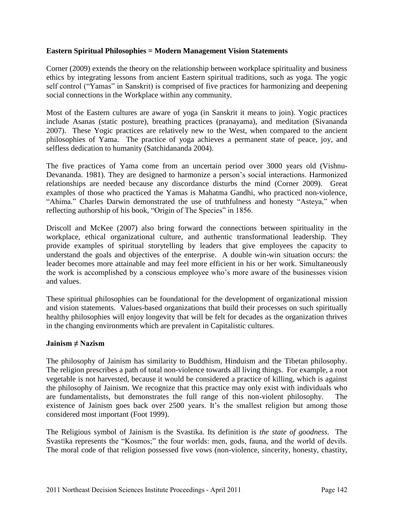# **Eastern Spiritual Philosophies = Modern Management Vision Statements**

Corner (2009) extends the theory on the relationship between workplace spirituality and business ethics by integrating lessons from ancient Eastern spiritual traditions, such as yoga. The yogic self control ("Yamas" in Sanskrit) is comprised of five practices for harmonizing and deepening social connections in the Workplace within any community.

Most of the Eastern cultures are aware of yoga (in Sanskrit it means to join). Yogic practices include Asanas (static posture), breathing practices (pranayama), and meditation (Sivananda 2007). These Yogic practices are relatively new to the West, when compared to the ancient philosophies of Yama. The practice of yoga achieves a permanent state of peace, joy, and selfless dedication to humanity (Satchidananda 2004).

The five practices of Yama come from an uncertain period over 3000 years old (Vishnu-Devananda. 1981). They are designed to harmonize a person's social interactions. Harmonized relationships are needed because any discordance disturbs the mind (Corner 2009). Great examples of those who practiced the Yamas is Mahatma Gandhi, who practiced non-violence, "Ahima." Charles Darwin demonstrated the use of truthfulness and honesty "Asteya," when reflecting authorship of his book, "Origin of The Species" in 1856.

Driscoll and McKee (2007) also bring forward the connections between spirituality in the workplace, ethical organizational culture, and authentic transformational leadership. They provide examples of spiritual storytelling by leaders that give employees the capacity to understand the goals and objectives of the enterprise. A double win-win situation occurs: the leader becomes more attainable and may feel more efficient in his or her work. Simultaneously the work is accomplished by a conscious employee who's more aware of the businesses vision and values.

These spiritual philosophies can be foundational for the development of organizational mission and vision statements. Values-based organizations that build their processes on such spiritually healthy philosophies will enjoy longevity that will be felt for decades as the organization thrives in the changing environments which are prevalent in Capitalistic cultures.

# **Jainism ≠ Nazism**

The philosophy of Jainism has similarity to Buddhism, Hinduism and the Tibetan philosophy. The religion prescribes a path of total non-violence towards all living things. For example, a root vegetable is not harvested, because it would be considered a practice of killing, which is against the philosophy of Jainism. We recognize that this practice may only exist with individuals who are fundamentalists, but demonstrates the full range of this non-violent philosophy. The existence of Jainism goes back over 2500 years. It's the smallest religion but among those considered most important (Foot 1999).

The Religious symbol of Jainism is the Svastika. Its definition is *the state of goodness*. The Svastika represents the "Kosmos;" the four worlds: men, gods, fauna, and the world of devils. The moral code of that religion possessed five vows (non-violence, sincerity, honesty, chastity,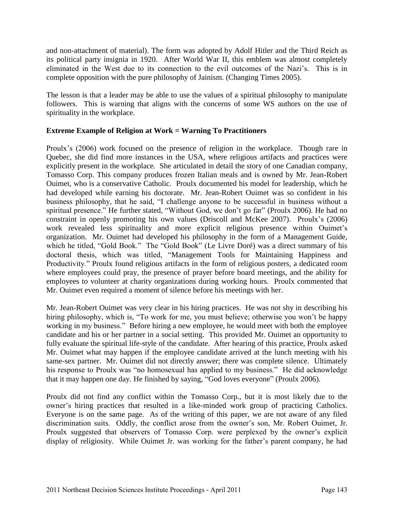and non-attachment of material). The form was adopted by Adolf Hitler and the Third Reich as its political party insignia in 1920. After World War II, this emblem was almost completely eliminated in the West due to its connection to the evil outcomes of the Nazi's. This is in complete opposition with the pure philosophy of Jainism. (Changing Times 2005).

The lesson is that a leader may be able to use the values of a spiritual philosophy to manipulate followers. This is warning that aligns with the concerns of some WS authors on the use of spirituality in the workplace.

# **Extreme Example of Religion at Work = Warning To Practitioners**

Proulx's (2006) work focused on the presence of religion in the workplace. Though rare in Quebec, she did find more instances in the USA, where religious artifacts and practices were explicitly present in the workplace. She articulated in detail the story of one Canadian company, Tomasso Corp. This company produces frozen Italian meals and is owned by Mr. Jean-Robert Ouimet, who is a conservative Catholic. Proulx documented his model for leadership, which he had developed while earning his doctorate. Mr. Jean-Robert Ouimet was so confident in his business philosophy, that he said, "I challenge anyone to be successful in business without a spiritual presence." He further stated, "Without God, we don't go far" (Proulx 2006). He had no constraint in openly promoting his own values (Driscoll and McKee 2007). Proulx's (2006) work revealed less spirituality and more explicit religious presence within Ouimet's organization. Mr. Ouimet had developed his philosophy in the form of a Management Guide, which he titled, "Gold Book." The "Gold Book" (Le Livre Doré) was a direct summary of his doctoral thesis, which was titled, "Management Tools for Maintaining Happiness and Productivity." Proulx found religious artifacts in the form of religious posters, a dedicated room where employees could pray, the presence of prayer before board meetings, and the ability for employees to volunteer at charity organizations during working hours. Proulx commented that Mr. Ouimet even required a moment of silence before his meetings with her.

Mr. Jean-Robert Ouimet was very clear in his hiring practices. He was not shy in describing his hiring philosophy, which is, "To work for me, you must believe; otherwise you won't be happy working in my business." Before hiring a new employee, he would meet with both the employee candidate and his or her partner in a social setting. This provided Mr. Ouimet an opportunity to fully evaluate the spiritual life-style of the candidate. After hearing of this practice, Proulx asked Mr. Ouimet what may happen if the employee candidate arrived at the lunch meeting with his same-sex partner. Mr. Ouimet did not directly answer; there was complete silence. Ultimately his response to Proulx was "no homosexual has applied to my business." He did acknowledge that it may happen one day. He finished by saying, "God loves everyone" (Proulx 2006).

Proulx did not find any conflict within the Tomasso Corp., but it is most likely due to the owner's hiring practices that resulted in a like-minded work group of practicing Catholics. Everyone is on the same page. As of the writing of this paper, we are not aware of any filed discrimination suits. Oddly, the conflict arose from the owner's son, Mr. Robert Ouimet, Jr. Proulx suggested that observers of Tomasso Corp. were perplexed by the owner's explicit display of religiosity. While Ouimet Jr. was working for the father's parent company, he had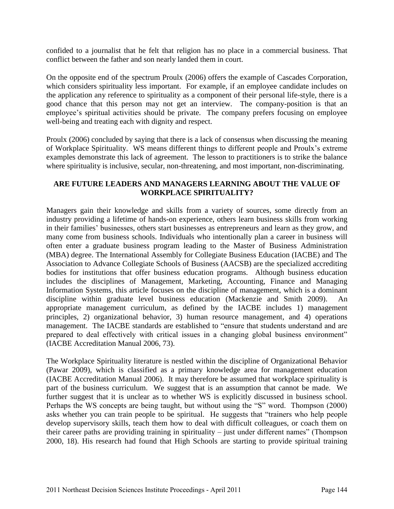confided to a journalist that he felt that religion has no place in a commercial business. That conflict between the father and son nearly landed them in court.

On the opposite end of the spectrum Proulx (2006) offers the example of Cascades Corporation, which considers spirituality less important. For example, if an employee candidate includes on the application any reference to spirituality as a component of their personal life-style, there is a good chance that this person may not get an interview. The company-position is that an employee's spiritual activities should be private. The company prefers focusing on employee well-being and treating each with dignity and respect.

Proulx (2006) concluded by saying that there is a lack of consensus when discussing the meaning of Workplace Spirituality. WS means different things to different people and Proulx's extreme examples demonstrate this lack of agreement. The lesson to practitioners is to strike the balance where spirituality is inclusive, secular, non-threatening, and most important, non-discriminating.

# **ARE FUTURE LEADERS AND MANAGERS LEARNING ABOUT THE VALUE OF WORKPLACE SPIRITUALITY?**

Managers gain their knowledge and skills from a variety of sources, some directly from an industry providing a lifetime of hands-on experience, others learn business skills from working in their families' businesses, others start businesses as entrepreneurs and learn as they grow, and many come from business schools. Individuals who intentionally plan a career in business will often enter a graduate business program leading to the Master of Business Administration (MBA) degree. The International Assembly for Collegiate Business Education (IACBE) and The Association to Advance Collegiate Schools of Business (AACSB) are the specialized accrediting bodies for institutions that offer business education programs. Although business education includes the disciplines of Management, Marketing, Accounting, Finance and Managing Information Systems, this article focuses on the discipline of management, which is a dominant discipline within graduate level business education (Mackenzie and Smith 2009). An appropriate management curriculum, as defined by the IACBE includes 1) management principles, 2) organizational behavior, 3) human resource management, and 4) operations management. The IACBE standards are established to "ensure that students understand and are prepared to deal effectively with critical issues in a changing global business environment" (IACBE Accreditation Manual 2006, 73).

The Workplace Spirituality literature is nestled within the discipline of Organizational Behavior (Pawar 2009), which is classified as a primary knowledge area for management education (IACBE Accreditation Manual 2006). It may therefore be assumed that workplace spirituality is part of the business curriculum. We suggest that is an assumption that cannot be made. We further suggest that it is unclear as to whether WS is explicitly discussed in business school. Perhaps the WS concepts are being taught, but without using the "S" word. Thompson (2000) asks whether you can train people to be spiritual. He suggests that "trainers who help people develop supervisory skills, teach them how to deal with difficult colleagues, or coach them on their career paths are providing training in spirituality – just under different names" (Thompson 2000, 18). His research had found that High Schools are starting to provide spiritual training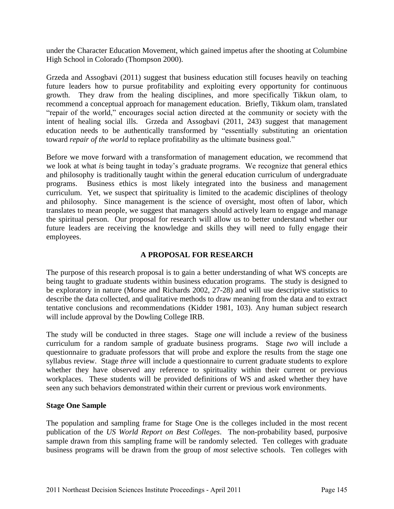under the Character Education Movement, which gained impetus after the shooting at Columbine High School in Colorado (Thompson 2000).

Grzeda and Assogbavi (2011) suggest that business education still focuses heavily on teaching future leaders how to pursue profitability and exploiting every opportunity for continuous growth. They draw from the healing disciplines, and more specifically Tikkun olam, to recommend a conceptual approach for management education. Briefly, Tikkum olam, translated "repair of the world," encourages social action directed at the community or society with the intent of healing social ills. Grzeda and Assogbavi (2011, 243) suggest that management education needs to be authentically transformed by "essentially substituting an orientation toward *repair of the world* to replace profitability as the ultimate business goal."

Before we move forward with a transformation of management education, we recommend that we look at what *is* being taught in today's graduate programs. We recognize that general ethics and philosophy is traditionally taught within the general education curriculum of undergraduate programs. Business ethics is most likely integrated into the business and management curriculum. Yet, we suspect that spirituality is limited to the academic disciplines of theology and philosophy. Since management is the science of oversight, most often of labor, which translates to mean people, we suggest that managers should actively learn to engage and manage the spiritual person. Our proposal for research will allow us to better understand whether our future leaders are receiving the knowledge and skills they will need to fully engage their employees.

# **A PROPOSAL FOR RESEARCH**

The purpose of this research proposal is to gain a better understanding of what WS concepts are being taught to graduate students within business education programs. The study is designed to be exploratory in nature (Morse and Richards 2002, 27-28) and will use descriptive statistics to describe the data collected, and qualitative methods to draw meaning from the data and to extract tentative conclusions and recommendations (Kidder 1981, 103). Any human subject research will include approval by the Dowling College IRB.

The study will be conducted in three stages. Stage *one* will include a review of the business curriculum for a random sample of graduate business programs. Stage *two* will include a questionnaire to graduate professors that will probe and explore the results from the stage one syllabus review. Stage *three* will include a questionnaire to current graduate students to explore whether they have observed any reference to spirituality within their current or previous workplaces. These students will be provided definitions of WS and asked whether they have seen any such behaviors demonstrated within their current or previous work environments.

# **Stage One Sample**

The population and sampling frame for Stage One is the colleges included in the most recent publication of the *US World Report on Best Colleges*. The non-probability based, purposive sample drawn from this sampling frame will be randomly selected. Ten colleges with graduate business programs will be drawn from the group of *most* selective schools. Ten colleges with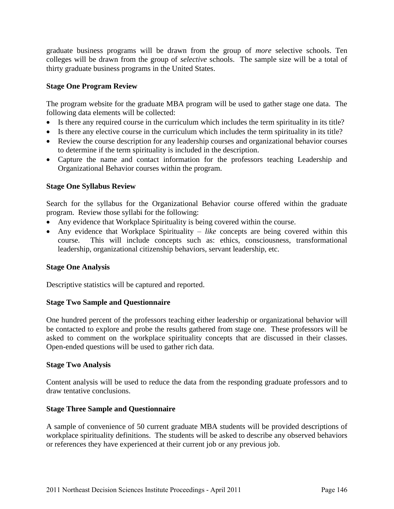graduate business programs will be drawn from the group of *more* selective schools. Ten colleges will be drawn from the group of *selective* schools. The sample size will be a total of thirty graduate business programs in the United States.

# **Stage One Program Review**

The program website for the graduate MBA program will be used to gather stage one data. The following data elements will be collected:

- Is there any required course in the curriculum which includes the term spirituality in its title?
- Is there any elective course in the curriculum which includes the term spirituality in its title?
- Review the course description for any leadership courses and organizational behavior courses to determine if the term spirituality is included in the description.
- Capture the name and contact information for the professors teaching Leadership and Organizational Behavior courses within the program.

# **Stage One Syllabus Review**

Search for the syllabus for the Organizational Behavior course offered within the graduate program. Review those syllabi for the following:

- Any evidence that Workplace Spirituality is being covered within the course.
- Any evidence that Workplace Spirituality *like* concepts are being covered within this course. This will include concepts such as: ethics, consciousness, transformational leadership, organizational citizenship behaviors, servant leadership, etc.

# **Stage One Analysis**

Descriptive statistics will be captured and reported.

# **Stage Two Sample and Questionnaire**

One hundred percent of the professors teaching either leadership or organizational behavior will be contacted to explore and probe the results gathered from stage one. These professors will be asked to comment on the workplace spirituality concepts that are discussed in their classes. Open-ended questions will be used to gather rich data.

#### **Stage Two Analysis**

Content analysis will be used to reduce the data from the responding graduate professors and to draw tentative conclusions.

# **Stage Three Sample and Questionnaire**

A sample of convenience of 50 current graduate MBA students will be provided descriptions of workplace spirituality definitions. The students will be asked to describe any observed behaviors or references they have experienced at their current job or any previous job.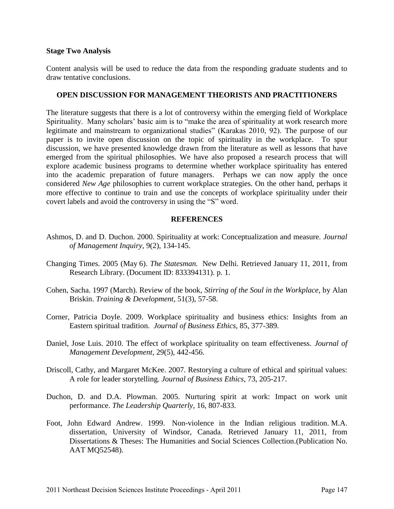#### **Stage Two Analysis**

Content analysis will be used to reduce the data from the responding graduate students and to draw tentative conclusions.

#### **OPEN DISCUSSION FOR MANAGEMENT THEORISTS AND PRACTITIONERS**

The literature suggests that there is a lot of controversy within the emerging field of Workplace Spirituality. Many scholars' basic aim is to "make the area of spirituality at work research more legitimate and mainstream to organizational studies" (Karakas 2010, 92). The purpose of our paper is to invite open discussion on the topic of spirituality in the workplace. To spur discussion, we have presented knowledge drawn from the literature as well as lessons that have emerged from the spiritual philosophies. We have also proposed a research process that will explore academic business programs to determine whether workplace spirituality has entered into the academic preparation of future managers. Perhaps we can now apply the once considered *New Age* philosophies to current workplace strategies. On the other hand, perhaps it more effective to continue to train and use the concepts of workplace spirituality under their covert labels and avoid the controversy in using the "S" word.

# **REFERENCES**

- Ashmos, D. and D. Duchon. 2000. Spirituality at work: Conceptualization and measure. *Journal of Management Inquiry,* 9(2), 134-145.
- Changing Times. 2005 (May 6). *The Statesman.* New Delhi. Retrieved January 11, 2011, from Research Library. (Document ID: 833394131). p. 1.
- Cohen, Sacha. 1997 (March). Review of the book, *Stirring of the Soul in the Workplace,* by Alan Briskin. *Training & Development,* 51(3), 57-58.
- Corner, Patricia Doyle. 2009. Workplace spirituality and business ethics: Insights from an Eastern spiritual tradition. *Journal of Business Ethics,* 85, 377-389.
- Daniel, Jose Luis. 2010. The effect of workplace spirituality on team effectiveness. *Journal of Management Development,* 29(5), 442-456.
- Driscoll, Cathy, and Margaret McKee. 2007. Restorying a culture of ethical and spiritual values: A role for leader storytelling. *Journal of Business Ethics*, 73, 205-217.
- Duchon, D. and D.A. Plowman. 2005. Nurturing spirit at work: Impact on work unit performance. *The Leadership Quarterly,* 16, 807-833.
- Foot, John Edward Andrew. 1999. Non-violence in the Indian religious tradition. M.A. dissertation, University of Windsor, Canada. Retrieved January 11, 2011, from Dissertations & Theses: The Humanities and Social Sciences Collection.(Publication No. AAT MQ52548).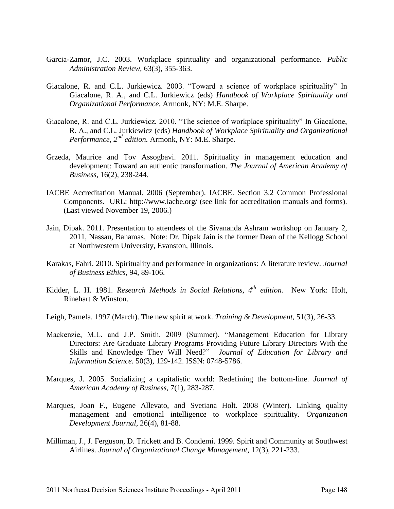- Garcia-Zamor, J.C. 2003. Workplace spirituality and organizational performance. *Public Administration Review,* 63(3), 355-363.
- Giacalone, R. and C.L. Jurkiewicz. 2003. "Toward a science of workplace spirituality" In Giacalone, R. A., and C.L. Jurkiewicz (eds) *Handbook of Workplace Spirituality and Organizational Performance.* Armonk, NY: M.E. Sharpe.
- Giacalone, R. and C.L. Jurkiewicz. 2010. "The science of workplace spirituality" In Giacalone, R. A., and C.L. Jurkiewicz (eds) *Handbook of Workplace Spirituality and Organizational Performance, 2nd edition.* Armonk, NY: M.E. Sharpe.
- Grzeda, Maurice and Tov Assogbavi. 2011. Spirituality in management education and development: Toward an authentic transformation. *The Journal of American Academy of Business,* 16(2), 238-244.
- IACBE Accreditation Manual. 2006 (September). IACBE. Section 3.2 Common Professional Components. URL: http://www.iacbe.org/ (see link for accreditation manuals and forms). (Last viewed November 19, 2006.)
- Jain, Dipak. 2011. Presentation to attendees of the Sivananda Ashram workshop on January 2, 2011, Nassau, Bahamas. Note: Dr. Dipak Jain is the former Dean of the Kellogg School at Northwestern University, Evanston, Illinois.
- Karakas, Fahri. 2010. Spirituality and performance in organizations: A literature review. *Journal of Business Ethics,* 94, 89-106.
- Kidder, L. H. 1981. *Research Methods in Social Relations, 4th edition.* New York: Holt, Rinehart & Winston.
- Leigh, Pamela. 1997 (March). The new spirit at work. *Training & Development,* 51(3), 26-33.
- Mackenzie, M.L. and J.P. Smith. 2009 (Summer). "Management Education for Library Directors: Are Graduate Library Programs Providing Future Library Directors With the Skills and Knowledge They Will Need?" *Journal of Education for Library and Information Science.* 50(3), 129-142. ISSN: 0748-5786.
- Marques, J. 2005. Socializing a capitalistic world: Redefining the bottom-line. *Journal of American Academy of Business,* 7(1), 283-287.
- Marques, Joan F., Eugene Allevato, and Svetiana Holt. 2008 (Winter). Linking quality management and emotional intelligence to workplace spirituality. *Organization Development Journal*, 26(4), 81-88.
- Milliman, J., J. Ferguson, D. Trickett and B. Condemi. 1999. Spirit and Community at Southwest Airlines. *Journal of Organizational Change Management,* 12(3), 221-233.